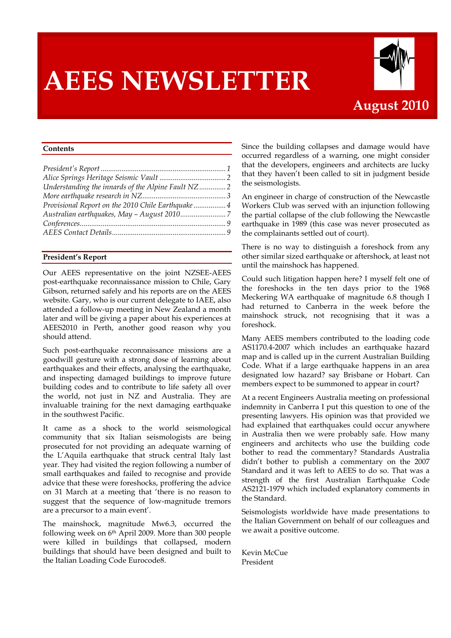# **AEES NEWSLETTER**



### **August 2010**

#### **Contents**

| Understanding the innards of the Alpine Fault NZ2  |  |
|----------------------------------------------------|--|
|                                                    |  |
| Provisional Report on the 2010 Chile Earthquake  4 |  |
|                                                    |  |
|                                                    |  |
|                                                    |  |
|                                                    |  |

#### **President's Report**

Our AEES representative on the joint NZSEE-AEES post-earthquake reconnaissance mission to Chile, Gary Gibson, returned safely and his reports are on the AEES website. Gary, who is our current delegate to IAEE, also attended a follow-up meeting in New Zealand a month later and will be giving a paper about his experiences at AEES2010 in Perth, another good reason why you should attend.

Such post-earthquake reconnaissance missions are a goodwill gesture with a strong dose of learning about earthquakes and their effects, analysing the earthquake, and inspecting damaged buildings to improve future building codes and to contribute to life safety all over the world, not just in NZ and Australia. They are invaluable training for the next damaging earthquake in the southwest Pacific.

It came as a shock to the world seismological community that six Italian seismologists are being prosecuted for not providing an adequate warning of the L'Aquila earthquake that struck central Italy last year. They had visited the region following a number of small earthquakes and failed to recognise and provide advice that these were foreshocks, proffering the advice on 31 March at a meeting that 'there is no reason to suggest that the sequence of low-magnitude tremors are a precursor to a main event'.

The mainshock, magnitude Mw6.3, occurred the following week on 6th April 2009. More than 300 people were killed in buildings that collapsed, modern buildings that should have been designed and built to the Italian Loading Code Eurocode8.

Since the building collapses and damage would have occurred regardless of a warning, one might consider that the developers, engineers and architects are lucky that they haven't been called to sit in judgment beside the seismologists.

An engineer in charge of construction of the Newcastle Workers Club was served with an injunction following the partial collapse of the club following the Newcastle earthquake in 1989 (this case was never prosecuted as the complainants settled out of court).

There is no way to distinguish a foreshock from any other similar sized earthquake or aftershock, at least not until the mainshock has happened.

Could such litigation happen here? I myself felt one of the foreshocks in the ten days prior to the 1968 Meckering WA earthquake of magnitude 6.8 though I had returned to Canberra in the week before the mainshock struck, not recognising that it was a foreshock.

Many AEES members contributed to the loading code AS1170.4-2007 which includes an earthquake hazard map and is called up in the current Australian Building Code. What if a large earthquake happens in an area designated low hazard? say Brisbane or Hobart. Can members expect to be summoned to appear in court?

At a recent Engineers Australia meeting on professional indemnity in Canberra I put this question to one of the presenting lawyers. His opinion was that provided we had explained that earthquakes could occur anywhere in Australia then we were probably safe. How many engineers and architects who use the building code bother to read the commentary? Standards Australia didn't bother to publish a commentary on the 2007 Standard and it was left to AEES to do so. That was a strength of the first Australian Earthquake Code AS2121-1979 which included explanatory comments in the Standard.

Seismologists worldwide have made presentations to the Italian Government on behalf of our colleagues and we await a positive outcome.

Kevin McCue President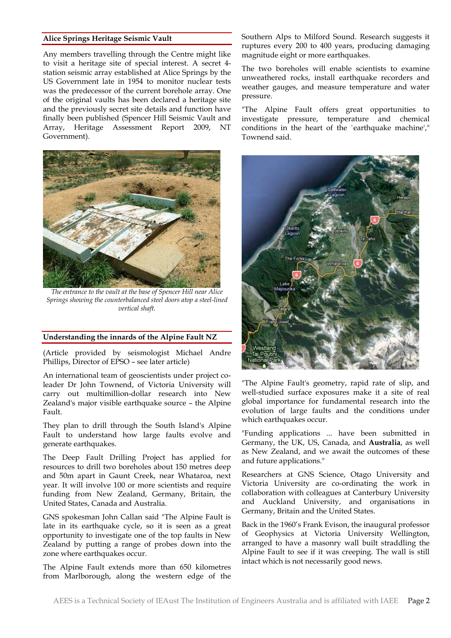#### **Alice Springs Heritage Seismic Vault**

Any members travelling through the Centre might like to visit a heritage site of special interest. A secret 4 station seismic array established at Alice Springs by the US Government late in 1954 to monitor nuclear tests was the predecessor of the current borehole array. One of the original vaults has been declared a heritage site and the previously secret site details and function have finally been published (Spencer Hill Seismic Vault and Array, Heritage Assessment Report 2009, NT Government).



*The entrance to the vault at the base of Spencer Hill near Alice Springs showing the counterbalanced steel doors atop a steel-lined vertical shaft.*

#### **Understanding the innards of the Alpine Fault NZ**

(Article provided by seismologist Michael Andre Phillips, Director of EPSO – see later article)

An international team of geoscientists under project coleader Dr John Townend, of Victoria University will carry out multimillion-dollar research into New Zealand's major visible earthquake source – the Alpine Fault.

They plan to drill through the South Island's Alpine Fault to understand how large faults evolve and generate earthquakes.

The Deep Fault Drilling Project has applied for resources to drill two boreholes about 150 metres deep and 50m apart in Gaunt Creek, near Whataroa, next year. It will involve 100 or more scientists and require funding from New Zealand, Germany, Britain, the United States, Canada and Australia.

GNS spokesman John Callan said "The Alpine Fault is late in its earthquake cycle, so it is seen as a great opportunity to investigate one of the top faults in New Zealand by putting a range of probes down into the zone where earthquakes occur.

The Alpine Fault extends more than 650 kilometres from Marlborough, along the western edge of the

Southern Alps to Milford Sound. Research suggests it ruptures every 200 to 400 years, producing damaging magnitude eight or more earthquakes.

The two boreholes will enable scientists to examine unweathered rocks, install earthquake recorders and weather gauges, and measure temperature and water pressure.

"The Alpine Fault offers great opportunities to investigate pressure, temperature and chemical conditions in the heart of the `earthquake machine'," Townend said.



"The Alpine Fault's geometry, rapid rate of slip, and well-studied surface exposures make it a site of real global importance for fundamental research into the evolution of large faults and the conditions under which earthquakes occur.

"Funding applications ... have been submitted in Germany, the UK, US, Canada, and **Australia**, as well as New Zealand, and we await the outcomes of these and future applications."

Researchers at GNS Science, Otago University and Victoria University are co-ordinating the work in collaboration with colleagues at Canterbury University and Auckland University, and organisations in Germany, Britain and the United States.

Back in the 1960's Frank Evison, the inaugural professor of Geophysics at Victoria University Wellington, arranged to have a masonry wall built straddling the Alpine Fault to see if it was creeping. The wall is still intact which is not necessarily good news.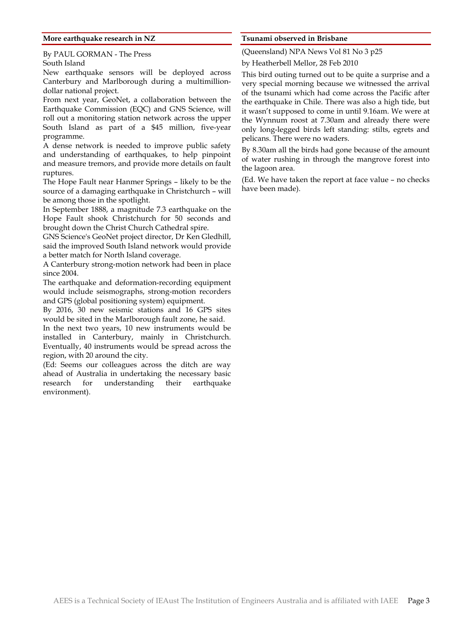#### **More earthquake research in NZ**

By PAUL GORMAN - The Press South Island

New earthquake sensors will be deployed across Canterbury and Marlborough during a multimilliondollar national project.

From next year, GeoNet, a collaboration between the Earthquake Commission (EQC) and GNS Science, will roll out a monitoring station network across the upper South Island as part of a \$45 million, five-year programme.

A dense network is needed to improve public safety and understanding of earthquakes, to help pinpoint and measure tremors, and provide more details on fault ruptures.

The Hope Fault near Hanmer Springs – likely to be the source of a damaging earthquake in Christchurch – will be among those in the spotlight.

In September 1888, a magnitude 7.3 earthquake on the Hope Fault shook Christchurch for 50 seconds and brought down the Christ Church Cathedral spire.

GNS Science's GeoNet project director, Dr Ken Gledhill, said the improved South Island network would provide a better match for North Island coverage.

A Canterbury strong-motion network had been in place since 2004.

The earthquake and deformation-recording equipment would include seismographs, strong-motion recorders and GPS (global positioning system) equipment.

By 2016, 30 new seismic stations and 16 GPS sites would be sited in the Marlborough fault zone, he said.

In the next two years, 10 new instruments would be installed in Canterbury, mainly in Christchurch. Eventually, 40 instruments would be spread across the region, with 20 around the city.

(Ed: Seems our colleagues across the ditch are way ahead of Australia in undertaking the necessary basic research for understanding their earthquake environment).

#### **Tsunami observed in Brisbane**

(Queensland) NPA News Vol 81 No 3 p25

by Heatherbell Mellor, 28 Feb 2010

This bird outing turned out to be quite a surprise and a very special morning because we witnessed the arrival of the tsunami which had come across the Pacific after the earthquake in Chile. There was also a high tide, but it wasn't supposed to come in until 9.16am. We were at the Wynnum roost at 7.30am and already there were only long-legged birds left standing: stilts, egrets and pelicans. There were no waders.

By 8.30am all the birds had gone because of the amount of water rushing in through the mangrove forest into the lagoon area.

(Ed. We have taken the report at face value – no checks have been made).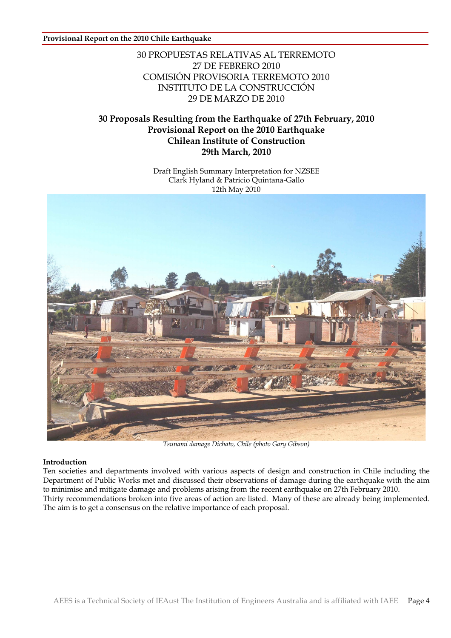#### **Provisional Report on the 2010 Chile Earthquake**

#### 30 PROPUESTAS RELATIVAS AL TERREMOTO 27 DE FEBRERO 2010 COMISIÓN PROVISORIA TERREMOTO 2010 INSTITUTO DE LA CONSTRUCCIÓN 29 DE MARZO DE 2010

#### **30 Proposals Resulting from the Earthquake of 27th February, 2010 Provisional Report on the 2010 Earthquake Chilean Institute of Construction 29th March, 2010**

Draft English Summary Interpretation for NZSEE



*Tsunami damage Dichato, Chile (photo Gary Gibson)*

#### **Introduction**

Ten societies and departments involved with various aspects of design and construction in Chile including the Department of Public Works met and discussed their observations of damage during the earthquake with the aim to minimise and mitigate damage and problems arising from the recent earthquake on 27th February 2010. Thirty recommendations broken into five areas of action are listed. Many of these are already being implemented. The aim is to get a consensus on the relative importance of each proposal.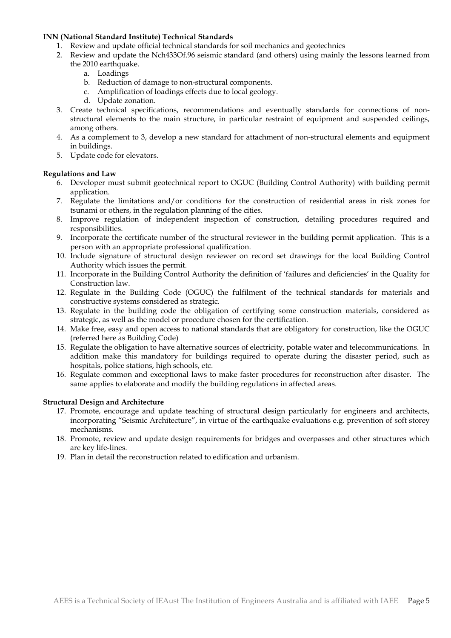#### **INN (National Standard Institute) Technical Standards**

- 1. Review and update official technical standards for soil mechanics and geotechnics
- 2. Review and update the Nch433Of.96 seismic standard (and others) using mainly the lessons learned from the 2010 earthquake.
	- a. Loadings
	- b. Reduction of damage to non-structural components.
	- c. Amplification of loadings effects due to local geology.
	- d. Update zonation.
- 3. Create technical specifications, recommendations and eventually standards for connections of nonstructural elements to the main structure, in particular restraint of equipment and suspended ceilings, among others.
- 4. As a complement to 3, develop a new standard for attachment of non-structural elements and equipment in buildings.
- 5. Update code for elevators.

#### **Regulations and Law**

- 6. Developer must submit geotechnical report to OGUC (Building Control Authority) with building permit application.
- 7. Regulate the limitations and/or conditions for the construction of residential areas in risk zones for tsunami or others, in the regulation planning of the cities.
- 8. Improve regulation of independent inspection of construction, detailing procedures required and responsibilities.
- 9. Incorporate the certificate number of the structural reviewer in the building permit application. This is a person with an appropriate professional qualification.
- 10. Include signature of structural design reviewer on record set drawings for the local Building Control Authority which issues the permit.
- 11. Incorporate in the Building Control Authority the definition of 'failures and deficiencies' in the Quality for Construction law.
- 12. Regulate in the Building Code (OGUC) the fulfilment of the technical standards for materials and constructive systems considered as strategic.
- 13. Regulate in the building code the obligation of certifying some construction materials, considered as strategic, as well as the model or procedure chosen for the certification.
- 14. Make free, easy and open access to national standards that are obligatory for construction, like the OGUC (referred here as Building Code)
- 15. Regulate the obligation to have alternative sources of electricity, potable water and telecommunications. In addition make this mandatory for buildings required to operate during the disaster period, such as hospitals, police stations, high schools, etc.
- 16. Regulate common and exceptional laws to make faster procedures for reconstruction after disaster. The same applies to elaborate and modify the building regulations in affected areas.

#### **Structural Design and Architecture**

- 17. Promote, encourage and update teaching of structural design particularly for engineers and architects, incorporating "Seismic Architecture", in virtue of the earthquake evaluations e.g. prevention of soft storey mechanisms.
- 18. Promote, review and update design requirements for bridges and overpasses and other structures which are key life-lines.
- 19. Plan in detail the reconstruction related to edification and urbanism.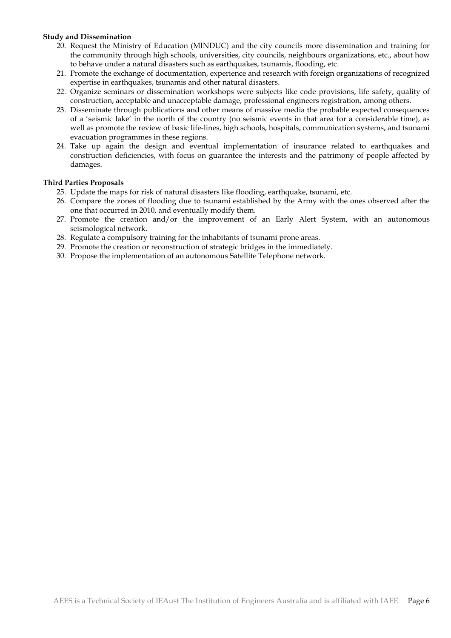#### **Study and Dissemination**

- 20. Request the Ministry of Education (MINDUC) and the city councils more dissemination and training for the community through high schools, universities, city councils, neighbours organizations, etc., about how to behave under a natural disasters such as earthquakes, tsunamis, flooding, etc.
- 21. Promote the exchange of documentation, experience and research with foreign organizations of recognized expertise in earthquakes, tsunamis and other natural disasters.
- 22. Organize seminars or dissemination workshops were subjects like code provisions, life safety, quality of construction, acceptable and unacceptable damage, professional engineers registration, among others.
- 23. Disseminate through publications and other means of massive media the probable expected consequences of a 'seismic lake' in the north of the country (no seismic events in that area for a considerable time), as well as promote the review of basic life-lines, high schools, hospitals, communication systems, and tsunami evacuation programmes in these regions.
- 24. Take up again the design and eventual implementation of insurance related to earthquakes and construction deficiencies, with focus on guarantee the interests and the patrimony of people affected by damages.

#### **Third Parties Proposals**

- 25. Update the maps for risk of natural disasters like flooding, earthquake, tsunami, etc.
- 26. Compare the zones of flooding due to tsunami established by the Army with the ones observed after the one that occurred in 2010, and eventually modify them.
- 27. Promote the creation and/or the improvement of an Early Alert System, with an autonomous seismological network.
- 28. Regulate a compulsory training for the inhabitants of tsunami prone areas.
- 29. Promote the creation or reconstruction of strategic bridges in the immediately.
- 30. Propose the implementation of an autonomous Satellite Telephone network.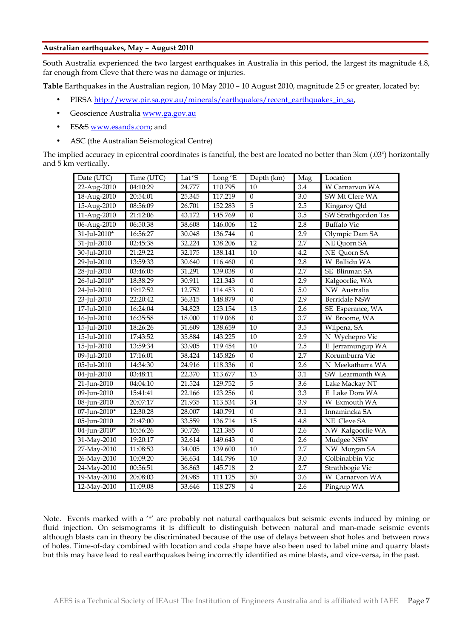#### **Australian earthquakes, May – August 2010**

South Australia experienced the two largest earthquakes in Australia in this period, the largest its magnitude 4.8, far enough from Cleve that there was no damage or injuries.

**Table** Earthquakes in the Australian region, 10 May 2010 – 10 August 2010, magnitude 2.5 or greater, located by:

- PIRSA http://www.pir.sa.gov.au/minerals/earthquakes/recent\_earthquakes\_in\_sa,
- Geoscience Australia www.ga.gov.au
- ES&S www.esands.com; and
- ASC (the Australian Seismological Centre)

The implied accuracy in epicentral coordinates is fanciful, the best are located no better than 3km (.03º) horizontally and 5 km vertically.

| Date (UTC)                | Time (UTC) | Lat <sup>o</sup> S | Long <sup>o</sup> E | Depth (km)       | Mag              | Location             |
|---------------------------|------------|--------------------|---------------------|------------------|------------------|----------------------|
| 22-Aug-2010               | 04:10:29   | 24.777             | 110.795             | 10               | 3.4              | W Carnarvon WA       |
| 18-Aug-2010               | 20:54:01   | 25.345             | 117.219             | $\mathbf{0}$     | 3.0              | SW Mt Clere WA       |
| 15-Aug-2010               | 08:56:09   | 26.701             | 152.283             | $\overline{5}$   | 2.5              | Kingaroy Qld         |
| 11-Aug-2010               | 21:12:06   | 43.172             | 145.769             | $\overline{0}$   | 3.5              | SW Strathgordon Tas  |
| 06-Aug-2010               | 06:50:38   | 38.608             | 146.006             | 12               | 2.8              | <b>Buffalo Vic</b>   |
| 31-Jul-2010*              | 16:56:27   | 30.048             | 136.744             | $\boldsymbol{0}$ | 2.9              | Olympic Dam SA       |
| 31-Jul-2010               | 02:45:38   | 32.224             | 138.206             | 12               | 2.7              | NE Quorn SA          |
| 30-Jul-2010               | 21:29:22   | 32.175             | 138.141             | 10               | 4.2              | NE Quorn SA          |
| 29-Jul-2010               | 13:59:33   | 30.640             | 116.460             | $\boldsymbol{0}$ | 2.8              | W Ballidu WA         |
| 28-Jul-2010               | 03:46:05   | 31.291             | 139.038             | $\mathbf{0}$     | 2.7              | <b>SE Blinman SA</b> |
| 26-Jul-2010*              | 18:38:29   | 30.911             | 121.343             | $\Omega$         | 2.9              | Kalgoorlie, WA       |
| 24-Jul-2010               | 19:17:52   | 12.752             | 114.453             | $\mathbf{0}$     | 5.0              | NW Australia         |
| 23-Jul-2010               | 22:20:42   | 36.315             | 148.879             | $\mathbf{0}$     | 2.9              | <b>Berridale NSW</b> |
| 17-Jul-2010               | 16:24:04   | 34.823             | 123.154             | 13               | 2.6              | SE Esperance, WA     |
| 16-Jul-2010               | 16:35:58   | 18.000             | 119.068             | $\boldsymbol{0}$ | 3.7              | W Broome, WA         |
| 15-Jul-2010               | 18:26:26   | 31.609             | 138.659             | 10               | 3.5              | Wilpena, SA          |
| 15-Jul-2010               | 17:43:52   | 35.884             | 143.225             | 10               | 2.9              | N Wychepro Vic       |
| 15-Jul-2010               | 13:59:34   | 33.905             | 119.454             | 10               | 2.5              | E Jerramungup WA     |
| 09-Jul-2010               | 17:16:01   | 38.424             | 145.826             | $\boldsymbol{0}$ | 2.7              | Korumburra Vic       |
| 05-Jul-2010               | 14:34:30   | 24.916             | 118.336             | $\mathbf{0}$     | 2.6              | N Meekatharra WA     |
| 04-Jul-2010               | 03:48:11   | 22.370             | 113.677             | 13               | 3.1              | SW Learmonth WA      |
| 21-Jun-2010               | 04:04:10   | 21.524             | 129.752             | 5                | $\overline{3.6}$ | Lake Mackay NT       |
| 09-Jun-2010               | 15:41:41   | 22.166             | 123.256             | $\overline{0}$   | 3.3              | E Lake Dora WA       |
| 08-Jun-2010               | 20:07:17   | 21.935             | 113.534             | 34               | $\overline{3.9}$ | W Exmouth WA         |
| 07-Jun-2010*              | 12:30:28   | 28.007             | 140.791             | $\overline{0}$   | 3.1              | Innamincka SA        |
| 05-Jun-2010               | 21:47:00   | 33.559             | 136.714             | 15               | 4.8              | <b>NE</b> Cleve SA   |
| 04-Jun-2010*              | 10:56:26   | 30.726             | 121.385             | $\boldsymbol{0}$ | 2.6              | NW Kalgoorlie WA     |
| 31-May-2010               | 19:20:17   | 32.614             | 149.643             | $\overline{0}$   | 2.6              | Mudgee NSW           |
| 27-May-2010               | 11:08:53   | 34.005             | 139.600             | 10               | 2.7              | NW Morgan SA         |
| 26-May-2010               | 10:09:20   | 36.634             | 144.796             | 10               | 3.0              | Colbinabbin Vic      |
| 24-May-2010               | 00:56:51   | 36.863             | 145.718             | $\overline{2}$   | 2.7              | Strathbogie Vic      |
| 19-May-2010               | 20:08:03   | 24.985             | 111.125             | 50               | 3.6              | W Carnarvon WA       |
| $\overline{12}$ -May-2010 | 11:09:08   | 33.646             | 118.278             | $\overline{4}$   | 2.6              | Pingrup WA           |

Note. Events marked with a '\*' are probably not natural earthquakes but seismic events induced by mining or fluid injection. On seismograms it is difficult to distinguish between natural and man-made seismic events although blasts can in theory be discriminated because of the use of delays between shot holes and between rows of holes. Time-of-day combined with location and coda shape have also been used to label mine and quarry blasts but this may have lead to real earthquakes being incorrectly identified as mine blasts, and vice-versa, in the past.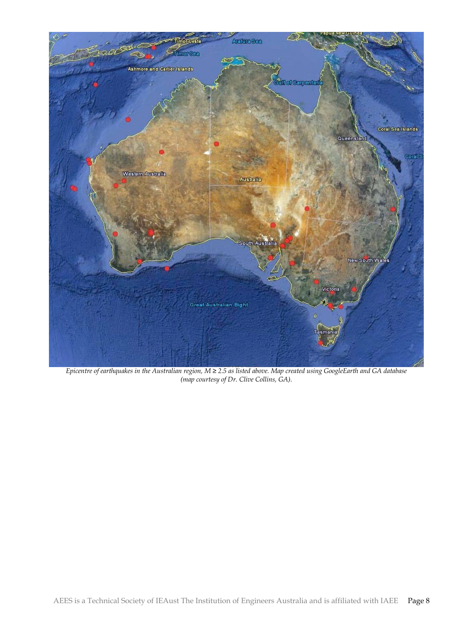

*Epicentre of earthquakes in the Australian region, M ≥ 2.5 as listed above. Map created using GoogleEarth and GA database (map courtesy of Dr. Clive Collins, GA).*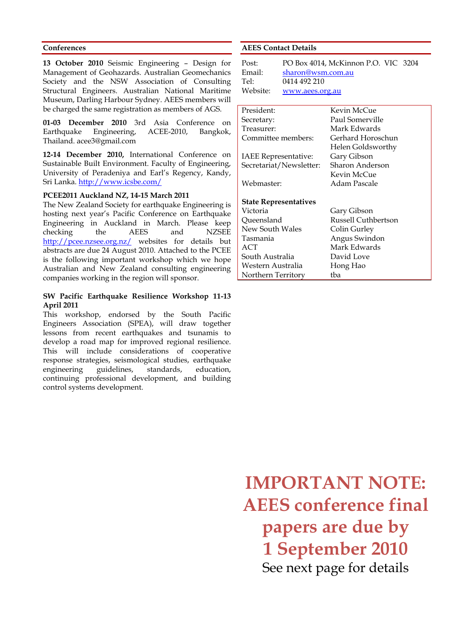#### **Conferences**

**13 October 2010** Seismic Engineering – Design for Management of Geohazards. Australian Geomechanics Society and the NSW Association of Consulting Structural Engineers. Australian National Maritime Museum, Darling Harbour Sydney. AEES members will be charged the same registration as members of AGS.

**01-03 December 2010** 3rd Asia Conference on Earthquake Engineering, ACEE-2010, Bangkok, Thailand. acee3@gmail.com

**12-14 December 2010,** International Conference on Sustainable Built Environment. Faculty of Engineering, University of Peradeniya and Earl's Regency, Kandy, Sri Lanka. http://www.icsbe.com/

#### **PCEE2011 Auckland NZ, 14-15 March 2011**

The New Zealand Society for earthquake Engineering is hosting next year's Pacific Conference on Earthquake Engineering in Auckland in March. Please keep checking the AEES and NZSEE http://pcee.nzsee.org.nz/ websites for details but abstracts are due 24 August 2010. Attached to the PCEE is the following important workshop which we hope Australian and New Zealand consulting engineering companies working in the region will sponsor.

#### **SW Pacific Earthquake Resilience Workshop 11-13 April 2011**

This workshop, endorsed by the South Pacific Engineers Association (SPEA), will draw together lessons from recent earthquakes and tsunamis to develop a road map for improved regional resilience. This will include considerations of cooperative response strategies, seismological studies, earthquake engineering guidelines, standards, education, continuing professional development, and building control systems development.

#### **AEES Contact Details**

| Post:    | PO Box 4014, McKinnon P.O. VIC 3204 |
|----------|-------------------------------------|
| Email:   | sharon@wsm.com.au                   |
| Te1:     | 0414 492 210                        |
| Website: | www.aees.org.au                     |

| President:                   | Kevin McCue         |
|------------------------------|---------------------|
| Secretary:                   | Paul Somerville     |
| Treasurer:                   | Mark Edwards        |
| Committee members:           | Gerhard Horoschun   |
|                              | Helen Goldsworthy   |
| <b>IAEE Representative:</b>  | Gary Gibson         |
| Secretariat/Newsletter:      | Sharon Anderson     |
|                              | Kevin McCue         |
| Webmaster:                   | Adam Pascale        |
| <b>State Representatives</b> |                     |
| Victoria                     | Gary Gibson         |
| Queensland                   | Russell Cuthbertson |
| New South Wales              | Colin Gurley        |
| Tasmania                     | Angus Swindon       |
| ACT                          | Mark Edwards        |
| South Australia              | David Love          |
| Western Australia            | Hong Hao            |
| Northern Territory           | tba                 |

**IMPORTANT NOTE: AEES conference final papers are due by 1 September 2010** See next page for details